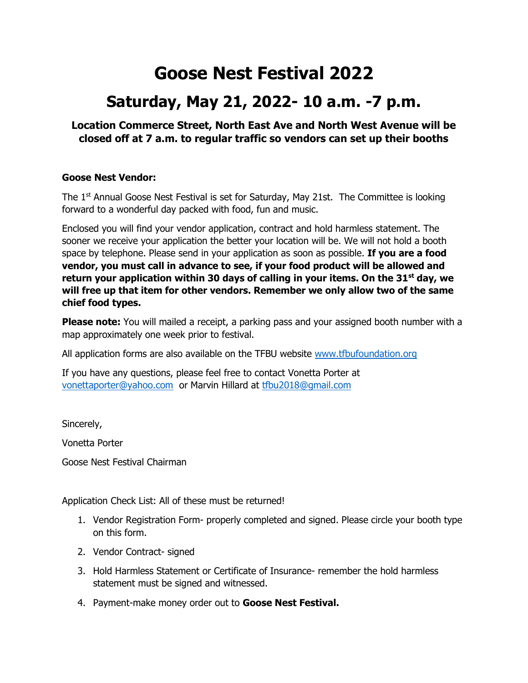# **Goose Nest Festival 2022**

# **Saturday, May 21, 2022- 10 a.m. -7 p.m.**

## **Location Commerce Street, North East Ave and North West Avenue will be closed off at 7 a.m. to regular traffic so vendors can set up their booths**

### **Goose Nest Vendor:**

The  $1<sup>st</sup>$  Annual Goose Nest Festival is set for Saturday, May 21st. The Committee is looking forward to a wonderful day packed with food, fun and music.

Enclosed you will find your vendor application, contract and hold harmless statement. The sooner we receive your application the better your location will be. We will not hold a booth space by telephone. Please send in your application as soon as possible. **If you are a food vendor, you must call in advance to see, if your food product will be allowed and return your application within 30 days of calling in your items. On the 31st day, we will free up that item for other vendors. Remember we only allow two of the same chief food types.**

**Please note:** You will mailed a receipt, a parking pass and your assigned booth number with a map approximately one week prior to festival.

All application forms are also available on the TFBU website [www.tfbufoundation.org](http://www.tfbufoundation.org/)

If you have any questions, please feel free to contact Vonetta Porter at [vonettaporter@yahoo.com](mailto:vonettaporter@yahoo.com) or Marvin Hillard at [tfbu2018@gmail.com](mailto:tfbu2018@gmail.com)

Sincerely,

Vonetta Porter

Goose Nest Festival Chairman

Application Check List: All of these must be returned!

- 1. Vendor Registration Form- properly completed and signed. Please circle your booth type on this form.
- 2. Vendor Contract- signed
- 3. Hold Harmless Statement or Certificate of Insurance- remember the hold harmless statement must be signed and witnessed.
- 4. Payment-make money order out to **Goose Nest Festival.**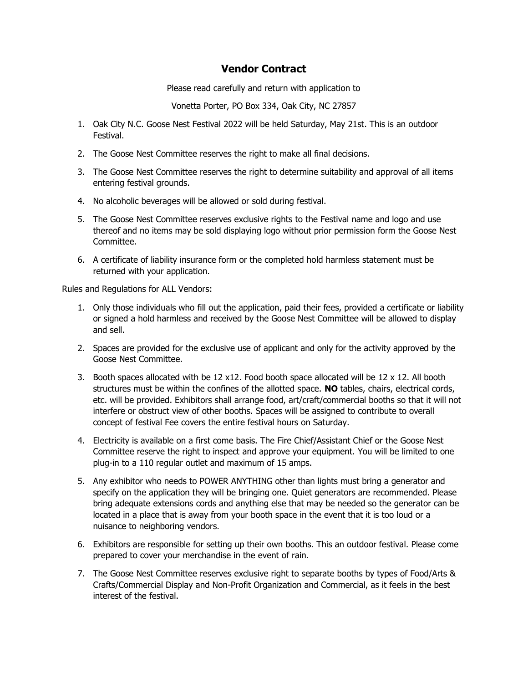## **Vendor Contract**

Please read carefully and return with application to

Vonetta Porter, PO Box 334, Oak City, NC 27857

- 1. Oak City N.C. Goose Nest Festival 2022 will be held Saturday, May 21st. This is an outdoor Festival.
- 2. The Goose Nest Committee reserves the right to make all final decisions.
- 3. The Goose Nest Committee reserves the right to determine suitability and approval of all items entering festival grounds.
- 4. No alcoholic beverages will be allowed or sold during festival.
- 5. The Goose Nest Committee reserves exclusive rights to the Festival name and logo and use thereof and no items may be sold displaying logo without prior permission form the Goose Nest Committee.
- 6. A certificate of liability insurance form or the completed hold harmless statement must be returned with your application.

Rules and Regulations for ALL Vendors:

- 1. Only those individuals who fill out the application, paid their fees, provided a certificate or liability or signed a hold harmless and received by the Goose Nest Committee will be allowed to display and sell.
- 2. Spaces are provided for the exclusive use of applicant and only for the activity approved by the Goose Nest Committee.
- 3. Booth spaces allocated with be 12 x12. Food booth space allocated will be 12 x 12. All booth structures must be within the confines of the allotted space. **NO** tables, chairs, electrical cords, etc. will be provided. Exhibitors shall arrange food, art/craft/commercial booths so that it will not interfere or obstruct view of other booths. Spaces will be assigned to contribute to overall concept of festival Fee covers the entire festival hours on Saturday.
- 4. Electricity is available on a first come basis. The Fire Chief/Assistant Chief or the Goose Nest Committee reserve the right to inspect and approve your equipment. You will be limited to one plug-in to a 110 regular outlet and maximum of 15 amps.
- 5. Any exhibitor who needs to POWER ANYTHING other than lights must bring a generator and specify on the application they will be bringing one. Quiet generators are recommended. Please bring adequate extensions cords and anything else that may be needed so the generator can be located in a place that is away from your booth space in the event that it is too loud or a nuisance to neighboring vendors.
- 6. Exhibitors are responsible for setting up their own booths. This an outdoor festival. Please come prepared to cover your merchandise in the event of rain.
- 7. The Goose Nest Committee reserves exclusive right to separate booths by types of Food/Arts & Crafts/Commercial Display and Non-Profit Organization and Commercial, as it feels in the best interest of the festival.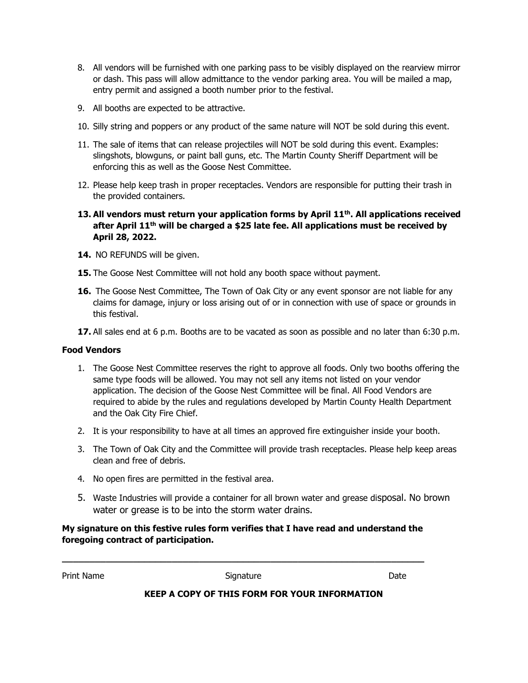- 8. All vendors will be furnished with one parking pass to be visibly displayed on the rearview mirror or dash. This pass will allow admittance to the vendor parking area. You will be mailed a map, entry permit and assigned a booth number prior to the festival.
- 9. All booths are expected to be attractive.
- 10. Silly string and poppers or any product of the same nature will NOT be sold during this event.
- 11. The sale of items that can release projectiles will NOT be sold during this event. Examples: slingshots, blowguns, or paint ball guns, etc. The Martin County Sheriff Department will be enforcing this as well as the Goose Nest Committee.
- 12. Please help keep trash in proper receptacles. Vendors are responsible for putting their trash in the provided containers.
- **13. All vendors must return your application forms by April 11th. All applications received after April 11th will be charged a \$25 late fee. All applications must be received by April 28, 2022.**
- 14. NO REFUNDS will be given.
- **15.** The Goose Nest Committee will not hold any booth space without payment.
- **16.** The Goose Nest Committee, The Town of Oak City or any event sponsor are not liable for any claims for damage, injury or loss arising out of or in connection with use of space or grounds in this festival.
- **17.** All sales end at 6 p.m. Booths are to be vacated as soon as possible and no later than 6:30 p.m.

#### **Food Vendors**

- 1. The Goose Nest Committee reserves the right to approve all foods. Only two booths offering the same type foods will be allowed. You may not sell any items not listed on your vendor application. The decision of the Goose Nest Committee will be final. All Food Vendors are required to abide by the rules and regulations developed by Martin County Health Department and the Oak City Fire Chief.
- 2. It is your responsibility to have at all times an approved fire extinguisher inside your booth.
- 3. The Town of Oak City and the Committee will provide trash receptacles. Please help keep areas clean and free of debris.
- 4. No open fires are permitted in the festival area.
- 5. Waste Industries will provide a container for all brown water and grease disposal. No brown water or grease is to be into the storm water drains.

#### **My signature on this festive rules form verifies that I have read and understand the foregoing contract of participation.**

**\_\_\_\_\_\_\_\_\_\_\_\_\_\_\_\_\_\_\_\_\_\_\_\_\_\_\_\_\_\_\_\_\_\_\_\_\_\_\_\_\_\_\_\_\_\_\_\_\_\_\_\_\_\_\_\_\_\_\_\_\_\_\_\_\_\_**

Print Name **Signature Constanting Science Constanting Constanting Constanting Constanting Constanting Constanting Constanting Constanting Order** 

#### **KEEP A COPY OF THIS FORM FOR YOUR INFORMATION**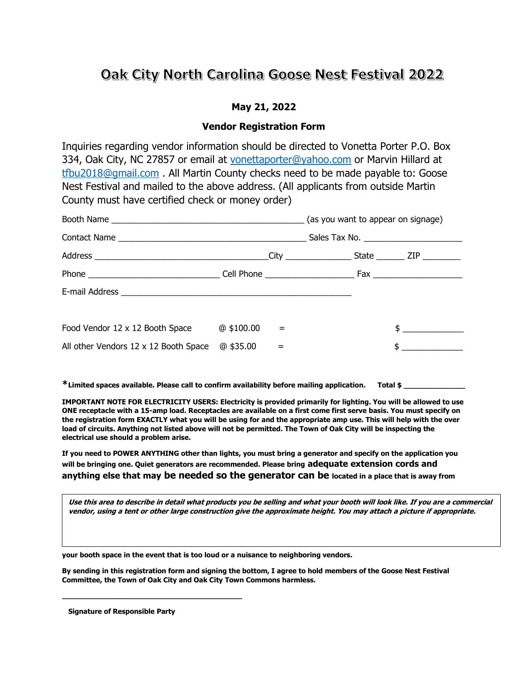## Oak City North Carolina Goose Nest Festival 2022

### **May 21, 2022**

#### **Vendor Registration Form**

Inquiries regarding vendor information should be directed to Vonetta Porter P.O. Box 334, Oak City, NC 27857 or email at [vonettaporter@yahoo.com](mailto:vonettaporter@yahoo.com) or Marvin Hillard at [tfbu2018@gmail.com](mailto:tfbu2018@gmail.com) . All Martin County checks need to be made payable to: Goose Nest Festival and mailed to the above address. (All applicants from outside Martin County must have certified check or money order)

| Food Vendor 12 x 12 Booth Space                                        | $@$ \$100.00 |  |  | $\mathsf{\$}$             |  |
|------------------------------------------------------------------------|--------------|--|--|---------------------------|--|
| All other Vendors $12 \times 12$ Booth Space $\textcircled{a}$ \$35.00 |              |  |  | <u> 1989 - Andrea Sta</u> |  |

**\*Limited spaces available. Please call to confirm availability before mailing application. Total \$ \_\_\_\_\_\_\_\_\_\_\_\_\_\_**

**IMPORTANT NOTE FOR ELECTRICITY USERS: Electricity is provided primarily for lighting. You will be allowed to use** 

**ONE receptacle with a 15-amp load. Receptacles are available on a first come first serve basis. You must specify on the registration form EXACTLY what you will be using for and the appropriate amp use. This will help with the over load of circuits. Anything not listed above will not be permitted. The Town of Oak City will be inspecting the electrical use should a problem arise.**

**If you need to POWER ANYTHING other than lights, you must bring a generator and specify on the application you will be bringing one. Quiet generators are recommended. Please bring adequate extension cords and anything else that may be needed so the generator can be located in a place that is away from** 

**Use this area to describe in detail what products you be selling and what your booth will look like. If you are a commercial vendor, using a tent or other large construction give the approximate height. You may attach a picture if appropriate.** 

**your booth space in the event that is too loud or a nuisance to neighboring vendors.**

**By sending in this registration form and signing the bottom, I agree to hold members of the Goose Nest Festival Committee, the Town of Oak City and Oak City Town Commons harmless.** 

 **Signature of Responsible Party**

**\_\_\_\_\_\_\_\_\_\_\_\_\_\_\_\_\_\_\_\_\_\_\_\_\_\_\_\_\_\_\_\_\_\_\_\_\_\_\_\_\_**